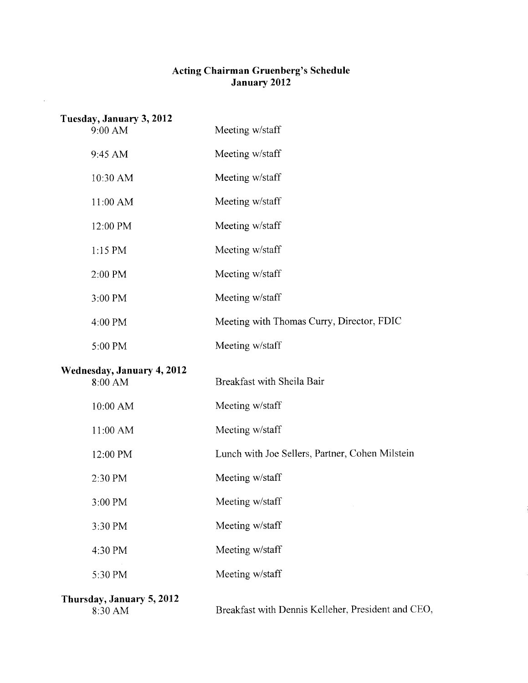## **Acting Chairman Gruenberg's Schedule January 2012**

 $\bar{\beta}$ 

| Tuesday, January 3, 2012<br>9:00 AM   | Meeting w/staff                                    |
|---------------------------------------|----------------------------------------------------|
| 9:45 AM                               | Meeting w/staff                                    |
| 10:30 AM                              | Meeting w/staff                                    |
| 11:00 AM                              | Meeting w/staff                                    |
| 12:00 PM                              | Meeting w/staff                                    |
| $1:15$ PM                             | Meeting w/staff                                    |
| 2:00 PM                               | Meeting w/staff                                    |
| 3:00 PM                               | Meeting w/staff                                    |
| 4:00 PM                               | Meeting with Thomas Curry, Director, FDIC          |
| 5:00 PM                               | Meeting w/staff                                    |
| Wednesday, January 4, 2012<br>8:00 AM | Breakfast with Sheila Bair                         |
| 10:00 AM                              | Meeting w/staff                                    |
| 11:00 AM                              | Meeting w/staff                                    |
| 12:00 PM                              | Lunch with Joe Sellers, Partner, Cohen Milstein    |
| 2:30 PM                               | Meeting w/staff                                    |
| 3:00 PM                               | Meeting w/staff                                    |
| 3:30 PM                               | Meeting w/staff                                    |
| 4:30 PM                               | Meeting w/staff                                    |
| 5:30 PM                               | Meeting w/staff                                    |
| Thursday, January 5, 2012<br>8:30 AM  | Breakfast with Dennis Kelleher, President and CEO, |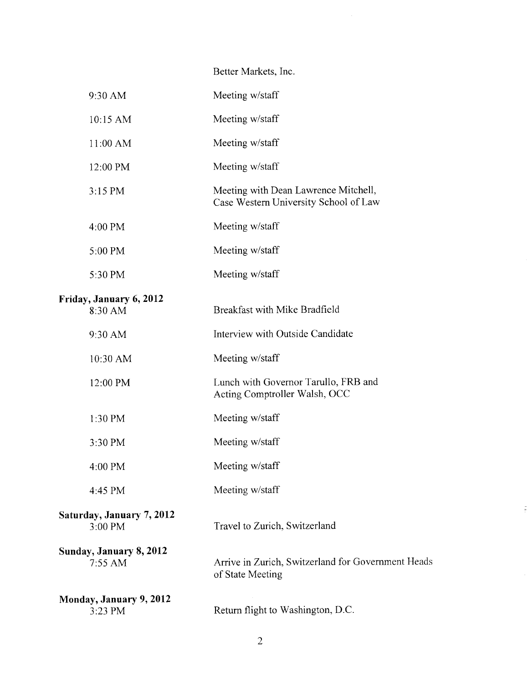## Better Markets, Inc.

| 9:30 AM                              | Meeting w/staff                                                               |
|--------------------------------------|-------------------------------------------------------------------------------|
| 10:15 AM                             | Meeting w/staff                                                               |
| 11:00 AM                             | Meeting w/staff                                                               |
| 12:00 PM                             | Meeting w/staff                                                               |
| 3:15 PM                              | Meeting with Dean Lawrence Mitchell,<br>Case Western University School of Law |
| 4:00 PM                              | Meeting w/staff                                                               |
| 5:00 PM                              | Meeting w/staff                                                               |
| 5:30 PM                              | Meeting w/staff                                                               |
| Friday, January 6, 2012<br>8:30 AM   | Breakfast with Mike Bradfield                                                 |
| 9:30 AM                              | Interview with Outside Candidate                                              |
| 10:30 AM                             | Meeting w/staff                                                               |
| 12:00 PM                             | Lunch with Governor Tarullo, FRB and<br>Acting Comptroller Walsh, OCC         |
| 1:30 PM                              | Meeting w/staff                                                               |
| 3:30 PM                              | Meeting w/staff                                                               |
| 4:00 PM                              | Meeting w/staff                                                               |
| 4:45 PM                              | Meeting w/staff                                                               |
| Saturday, January 7, 2012<br>3:00 PM | Travel to Zurich, Switzerland                                                 |
| Sunday, January 8, 2012<br>7:55 AM   | Arrive in Zurich, Switzerland for Government Head<br>of State Meeting         |
| Monday, January 9, 2012<br>3:23 PM   | Return flight to Washington, D.C.                                             |

 $\frac{1}{2}$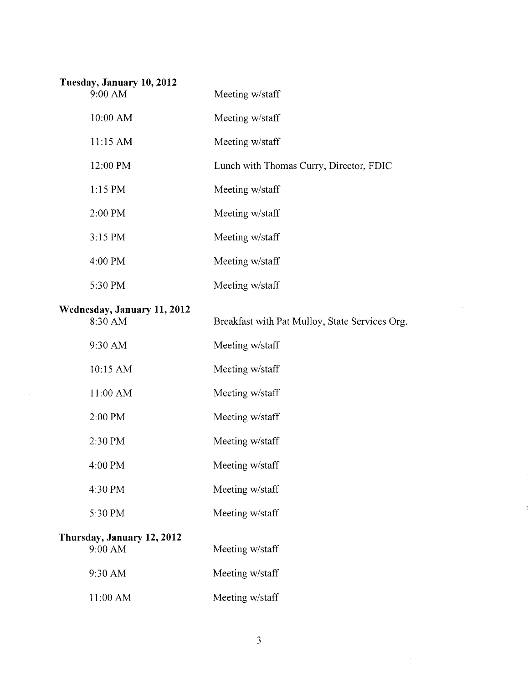| Tuesday, January 10, 2012              |                                                |
|----------------------------------------|------------------------------------------------|
| 9:00 AM                                | Meeting w/staff                                |
| 10:00 AM                               | Meeting w/staff                                |
| 11:15 AM                               | Meeting w/staff                                |
| 12:00 PM                               | Lunch with Thomas Curry, Director, FDIC        |
| $1:15$ PM                              | Meeting w/staff                                |
| 2:00 PM                                | Meeting w/staff                                |
| 3:15 PM                                | Meeting w/staff                                |
| 4:00 PM                                | Meeting w/staff                                |
| 5:30 PM                                | Meeting w/staff                                |
| Wednesday, January 11, 2012<br>8:30 AM | Breakfast with Pat Mulloy, State Services Org. |
| 9:30 AM                                | Meeting w/staff                                |
| 10:15 AM                               | Meeting w/staff                                |
| 11:00 AM                               | Meeting w/staff                                |
| 2:00 PM                                | Meeting w/staff                                |
| 2:30 PM                                | Meeting w/staff                                |
| 4:00 PM                                | Meeting w/staff                                |
| 4:30 PM                                | Meeting w/staff                                |
| 5:30 PM                                | Meeting w/staff                                |
| Thursday, January 12, 2012<br>9:00 AM  | Meeting w/staff                                |
| 9:30 AM                                | Meeting w/staff                                |
| 11:00 AM                               | Meeting w/staff                                |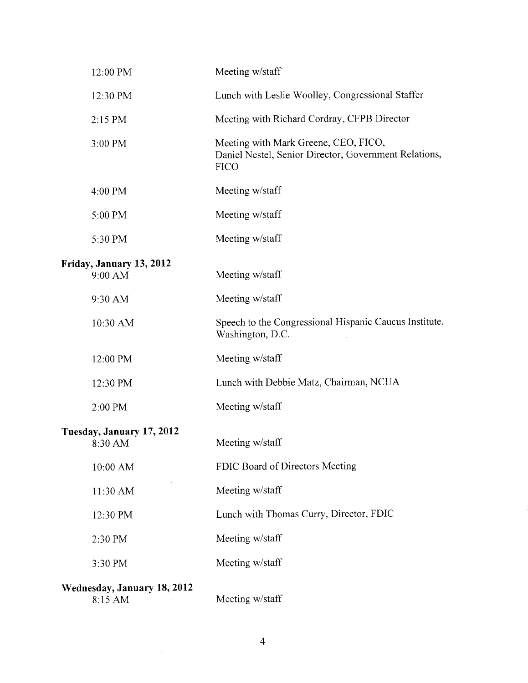| 12:00 PM                               | Meeting w/staff                                                                                              |
|----------------------------------------|--------------------------------------------------------------------------------------------------------------|
| 12:30 PM                               | Lunch with Leslie Woolley, Congressional Staffer                                                             |
| $2:15$ PM                              | Meeting with Richard Cordray, CFPB Director                                                                  |
| 3:00 PM                                | Meeting with Mark Greene, CEO, FICO,<br>Daniel Nestel, Senior Director, Government Relations,<br><b>FICO</b> |
| 4:00 PM                                | Meeting w/staff                                                                                              |
| 5:00 PM                                | Meeting w/staff                                                                                              |
| 5:30 PM                                | Meeting w/staff                                                                                              |
| Friday, January 13, 2012               |                                                                                                              |
| 9:00 AM                                | Meeting w/staff                                                                                              |
| 9:30 AM                                | Meeting w/staff                                                                                              |
| 10:30 AM                               | Speech to the Congressional Hispanic Caucus Institute.<br>Washington, D.C.                                   |
| 12:00 PM                               | Meeting w/staff                                                                                              |
| 12:30 PM                               | Lunch with Debbie Matz, Chairman, NCUA                                                                       |
| 2:00 PM                                | Meeting w/staff                                                                                              |
| Tuesday, January 17, 2012              |                                                                                                              |
| 8:30 AM                                | Meeting w/staff                                                                                              |
| 10:00 AM                               | FDIC Board of Directors Meeting                                                                              |
| 11:30 AM                               | Meeting w/staff                                                                                              |
| 12:30 PM                               | Lunch with Thomas Curry, Director, FDIC                                                                      |
| 2:30 PM                                | Meeting w/staff                                                                                              |
| 3:30 PM                                | Meeting w/staff                                                                                              |
| Wednesday, January 18, 2012<br>8:15 AM | Meeting w/staff                                                                                              |

 $\overline{4}$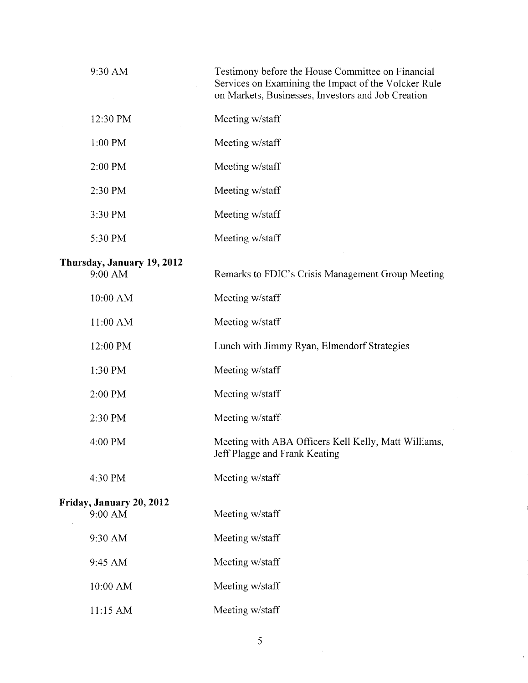| 9:30 AM                               | Testimony before the House Committee on Financial<br>Services on Examining the Impact of the Volcker Rule<br>on Markets, Businesses, Investors and Job Creation |
|---------------------------------------|-----------------------------------------------------------------------------------------------------------------------------------------------------------------|
| 12:30 PM                              | Meeting w/staff                                                                                                                                                 |
| 1:00 PM                               | Meeting w/staff                                                                                                                                                 |
| 2:00 PM                               | Meeting w/staff                                                                                                                                                 |
| 2:30 PM                               | Meeting w/staff                                                                                                                                                 |
| 3:30 PM                               | Meeting w/staff                                                                                                                                                 |
| 5:30 PM                               | Meeting w/staff                                                                                                                                                 |
| Thursday, January 19, 2012<br>9:00 AM | Remarks to FDIC's Crisis Management Group Meeting                                                                                                               |
| 10:00 AM                              | Meeting w/staff                                                                                                                                                 |
| 11:00 AM                              | Meeting w/staff                                                                                                                                                 |
| 12:00 PM                              | Lunch with Jimmy Ryan, Elmendorf Strategies                                                                                                                     |
| 1:30 PM                               | Meeting w/staff                                                                                                                                                 |
| 2:00 PM                               | Meeting w/staff                                                                                                                                                 |
| 2:30 PM                               | Meeting w/staff                                                                                                                                                 |
| 4:00 PM                               | Meeting with ABA Officers Kell Kelly, Matt Williams,<br>Jeff Plagge and Frank Keating                                                                           |
| 4:30 PM                               | Meeting w/staff                                                                                                                                                 |
| Friday, January 20, 2012<br>9:00 AM   | Meeting w/staff                                                                                                                                                 |
| 9:30 AM                               | Meeting w/staff                                                                                                                                                 |
| 9:45 AM                               | Meeting w/staff                                                                                                                                                 |
| 10:00 AM                              | Meeting w/staff                                                                                                                                                 |
| 11:15 AM                              | Meeting w/staff                                                                                                                                                 |

5

 $\label{eq:2} \frac{1}{\sqrt{2}}\left(\frac{1}{2}\right)^{2} \left(\frac{1}{2}\right)^{2}$ 

 $\hat{\mathcal{A}}$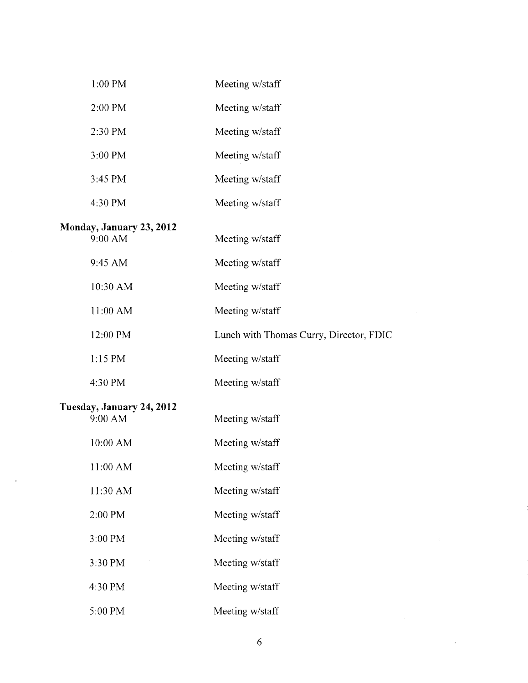| 1:00 PM                              | Meeting w/staff                         |
|--------------------------------------|-----------------------------------------|
| 2:00 PM                              | Meeting w/staff                         |
| 2:30 PM                              | Meeting w/staff                         |
| 3:00 PM                              | Meeting w/staff                         |
| 3:45 PM                              | Meeting w/staff                         |
| 4:30 PM                              | Meeting w/staff                         |
| Monday, January 23, 2012<br>9:00 AM  | Meeting w/staff                         |
| 9:45 AM                              | Meeting w/staff                         |
| 10:30 AM                             | Meeting w/staff                         |
| 11:00 AM                             | Meeting w/staff                         |
| 12:00 PM                             | Lunch with Thomas Curry, Director, FDIC |
| 1:15 PM                              | Meeting w/staff                         |
| 4:30 PM                              | Meeting w/staff                         |
| Tuesday, January 24, 2012<br>9:00 AM | Meeting w/staff                         |
| 10:00 AM                             | Meeting w/staff                         |
| 11:00 AM                             | Meeting w/staff                         |
| 11:30 AM                             | Meeting w/staff                         |
| 2:00 PM                              | Meeting w/staff                         |
| 3:00 PM                              | Meeting w/staff                         |
| 3:30 PM                              | Meeting w/staff                         |
| 4:30 PM                              | Meeting w/staff                         |
| 5:00 PM                              | Meeting w/staff                         |

 $\sim 10^{11}$ 

 $\mathcal{L}^{\text{max}}_{\text{max}}$  and  $\mathcal{L}^{\text{max}}_{\text{max}}$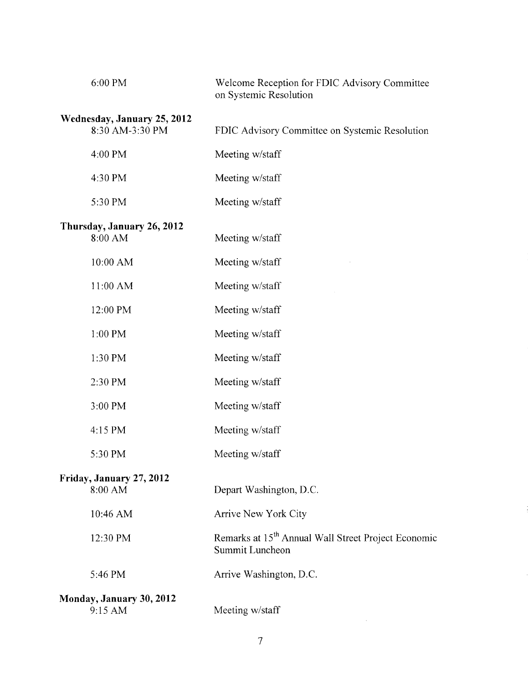| 6:00 PM                     | Welcome Reception for FDIC Advisory Committee<br>on Systemic Resolution            |
|-----------------------------|------------------------------------------------------------------------------------|
| Wednesday, January 25, 2012 |                                                                                    |
| 8:30 AM-3:30 PM             | FDIC Advisory Committee on Systemic Resolution                                     |
| 4:00 PM                     | Meeting w/staff                                                                    |
| 4:30 PM                     | Meeting w/staff                                                                    |
| 5:30 PM                     | Meeting w/staff                                                                    |
| Thursday, January 26, 2012  |                                                                                    |
| 8:00 AM                     | Meeting w/staff                                                                    |
| 10:00 AM                    | Meeting w/staff                                                                    |
| 11:00 AM                    | Meeting w/staff                                                                    |
| 12:00 PM                    | Meeting w/staff                                                                    |
| 1:00 PM                     | Meeting w/staff                                                                    |
| 1:30 PM                     | Meeting w/staff                                                                    |
| 2:30 PM                     | Meeting w/staff                                                                    |
| 3:00 PM                     | Meeting w/staff                                                                    |
| 4:15 PM                     | Meeting w/staff                                                                    |
| 5:30 PM                     | Meeting w/staff                                                                    |
| Friday, January 27, 2012    |                                                                                    |
| 8:00 AM                     | Depart Washington, D.C.                                                            |
| 10:46 AM                    | Arrive New York City                                                               |
| 12:30 PM                    | Remarks at 15 <sup>th</sup> Annual Wall Street Project Economic<br>Summit Luncheon |
| 5:46 PM                     | Arrive Washington, D.C.                                                            |
| Monday, January 30, 2012    |                                                                                    |
| 9:15 AM                     | Meeting w/staff                                                                    |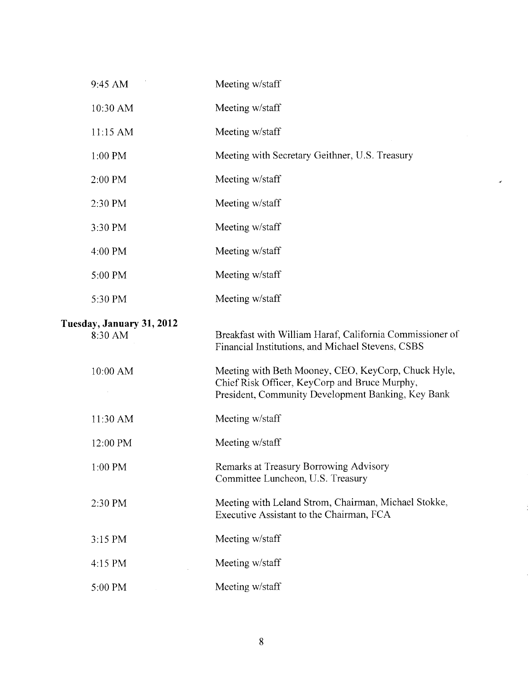| 9:45 AM                              | Meeting w/staff                                                                                                                                            |
|--------------------------------------|------------------------------------------------------------------------------------------------------------------------------------------------------------|
| 10:30 AM                             | Meeting w/staff                                                                                                                                            |
| 11:15 AM                             | Meeting w/staff                                                                                                                                            |
| 1:00 PM                              | Meeting with Secretary Geithner, U.S. Treasury                                                                                                             |
| 2:00 PM                              | Meeting w/staff                                                                                                                                            |
| 2:30 PM                              | Meeting w/staff                                                                                                                                            |
| 3:30 PM                              | Meeting w/staff                                                                                                                                            |
| 4:00 PM                              | Meeting w/staff                                                                                                                                            |
| 5:00 PM                              | Meeting w/staff                                                                                                                                            |
| 5:30 PM                              | Meeting w/staff                                                                                                                                            |
| Tuesday, January 31, 2012<br>8:30 AM | Breakfast with William Haraf, California Commissioner of<br>Financial Institutions, and Michael Stevens, CSBS                                              |
| 10:00 AM                             | Meeting with Beth Mooney, CEO, KeyCorp, Chuck Hyle,<br>Chief Risk Officer, KeyCorp and Bruce Murphy,<br>President, Community Development Banking, Key Bank |
| 11:30 AM                             | Meeting w/staff                                                                                                                                            |
| 12:00 PM                             | Meeting w/staff                                                                                                                                            |
| 1:00 PM                              | Remarks at Treasury Borrowing Advisory<br>Committee Luncheon, U.S. Treasury                                                                                |
| 2:30 PM                              | Meeting with Leland Strom, Chairman, Michael Stokke,<br>Executive Assistant to the Chairman, FCA                                                           |
| 3:15 PM                              | Meeting w/staff                                                                                                                                            |
| 4:15 PM                              | Meeting w/staff                                                                                                                                            |
| 5:00 PM                              | Meeting w/staff                                                                                                                                            |

 $\cdot$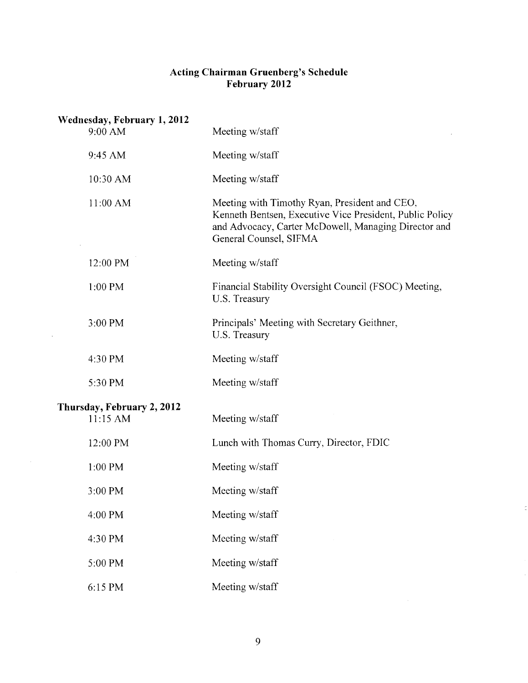## **Acting Chairman Gruenberg's Schedule February 2012**

| Wednesday, February 1, 2012<br>9:00 AM | Meeting w/staff                                                                                                                                                                             |
|----------------------------------------|---------------------------------------------------------------------------------------------------------------------------------------------------------------------------------------------|
| 9:45 AM                                | Meeting w/staff                                                                                                                                                                             |
| 10:30 AM                               | Meeting w/staff                                                                                                                                                                             |
| $11:00$ AM                             | Meeting with Timothy Ryan, President and CEO,<br>Kenneth Bentsen, Executive Vice President, Public Policy<br>and Advocacy, Carter McDowell, Managing Director and<br>General Counsel, SIFMA |
| 12:00 PM                               | Meeting w/staff                                                                                                                                                                             |
| 1:00 PM                                | Financial Stability Oversight Council (FSOC) Meeting,<br>U.S. Treasury                                                                                                                      |
| 3:00 PM                                | Principals' Meeting with Secretary Geithner,<br>U.S. Treasury                                                                                                                               |
| 4:30 PM                                | Meeting w/staff                                                                                                                                                                             |
| 5:30 PM                                | Meeting w/staff                                                                                                                                                                             |
| Thursday, February 2, 2012<br>11:15 AM | Meeting w/staff                                                                                                                                                                             |
| 12:00 PM                               | Lunch with Thomas Curry, Director, FDIC                                                                                                                                                     |
| 1:00 PM                                | Meeting w/staff                                                                                                                                                                             |
| 3:00 PM                                | Meeting w/staff                                                                                                                                                                             |
| 4:00 PM                                | Meeting w/staff                                                                                                                                                                             |
| 4:30 PM                                | Meeting w/staff                                                                                                                                                                             |
| 5:00 PM                                | Meeting w/staff                                                                                                                                                                             |
| 6:15 PM                                | Meeting w/staff                                                                                                                                                                             |

 $\bar{z}$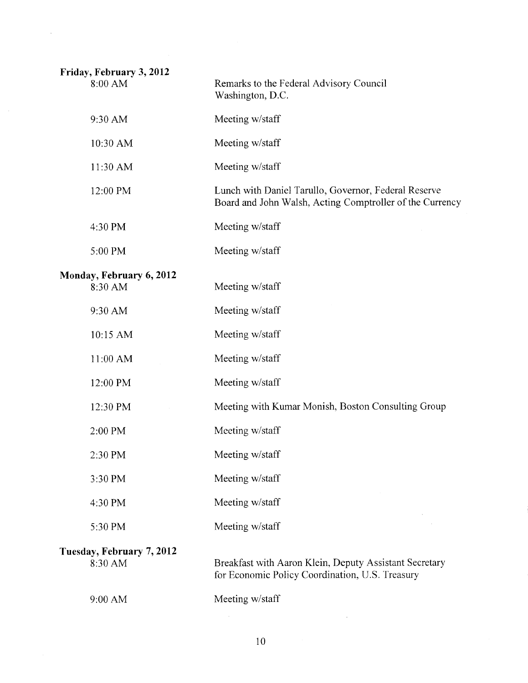| Friday, February 3, 2012<br>8:00 AM  | Remarks to the Federal Advisory Council<br>Washington, D.C.                                                      |
|--------------------------------------|------------------------------------------------------------------------------------------------------------------|
| 9:30 AM                              | Meeting w/staff                                                                                                  |
| 10:30 AM                             | Meeting w/staff                                                                                                  |
| 11:30 AM                             | Meeting w/staff                                                                                                  |
| 12:00 PM                             | Lunch with Daniel Tarullo, Governor, Federal Reserve<br>Board and John Walsh, Acting Comptroller of the Currency |
| 4:30 PM                              | Meeting w/staff                                                                                                  |
| 5:00 PM                              | Meeting w/staff                                                                                                  |
| Monday, February 6, 2012<br>8:30 AM  | Meeting w/staff                                                                                                  |
| 9:30 AM                              | Meeting w/staff                                                                                                  |
| 10:15 AM                             | Meeting w/staff                                                                                                  |
| 11:00 AM                             | Meeting w/staff                                                                                                  |
| 12:00 PM                             | Meeting w/staff                                                                                                  |
| 12:30 PM                             | Meeting with Kumar Monish, Boston Consulting Group                                                               |
| 2:00 PM                              | Meeting w/staff                                                                                                  |
| 2:30 PM                              | Meeting w/staff                                                                                                  |
| 3:30 PM                              | Meeting w/staff                                                                                                  |
| 4:30 PM                              | Meeting w/staff                                                                                                  |
| 5:30 PM                              | Meeting w/staff                                                                                                  |
| Tuesday, February 7, 2012<br>8:30 AM | Breakfast with Aaron Klein, Deputy Assistant Secretary<br>for Economic Policy Coordination, U.S. Treasury        |
| 9:00 AM                              | Meeting w/staff                                                                                                  |
|                                      |                                                                                                                  |

 $\langle \phi \rangle$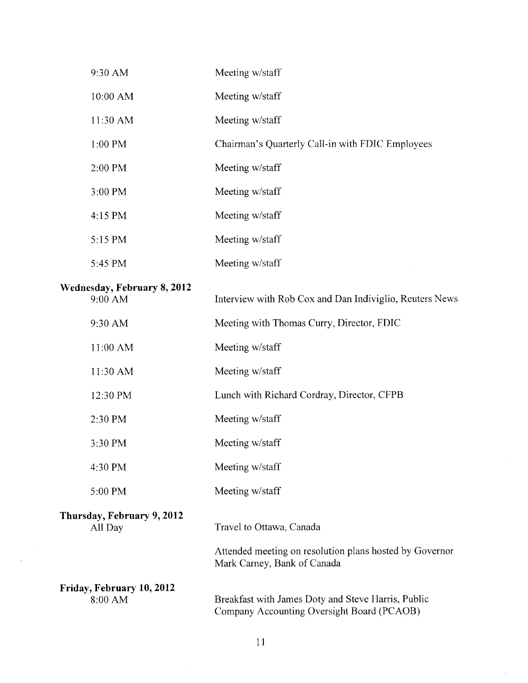| 9:30 AM                                | Meeting w/staff                                                                                  |
|----------------------------------------|--------------------------------------------------------------------------------------------------|
| 10:00 AM                               | Meeting w/staff                                                                                  |
| 11:30 AM                               | Meeting w/staff                                                                                  |
| 1:00 PM                                | Chairman's Quarterly Call-in with FDIC Employees                                                 |
| 2:00 PM                                | Meeting w/staff                                                                                  |
| 3:00 PM                                | Meeting w/staff                                                                                  |
| 4:15 PM                                | Meeting w/staff                                                                                  |
| 5:15 PM                                | Meeting w/staff                                                                                  |
| 5:45 PM                                | Meeting w/staff                                                                                  |
| Wednesday, February 8, 2012<br>9:00 AM | Interview with Rob Cox and Dan Indiviglio, Reuters News                                          |
| 9:30 AM                                | Meeting with Thomas Curry, Director, FDIC                                                        |
| 11:00 AM                               | Meeting w/staff                                                                                  |
| 11:30 AM                               | Meeting w/staff                                                                                  |
| 12:30 PM                               | Lunch with Richard Cordray, Director, CFPB                                                       |
| 2:30 PM                                | Meeting w/staff                                                                                  |
| 3:30 PM                                | Meeting w/staff                                                                                  |
| 4:30 PM                                | Meeting w/staff                                                                                  |
| 5:00 PM                                | Meeting w/staff                                                                                  |
| Thursday, February 9, 2012<br>All Day  | Travel to Ottawa, Canada                                                                         |
|                                        | Attended meeting on resolution plans hosted by Governor<br>Mark Carney, Bank of Canada           |
| Friday, February 10, 2012<br>8:00 AM   | Breakfast with James Doty and Steve Harris, Public<br>Company Accounting Oversight Board (PCAOB) |

11

 $\sim$ 

 $\mathcal{A}$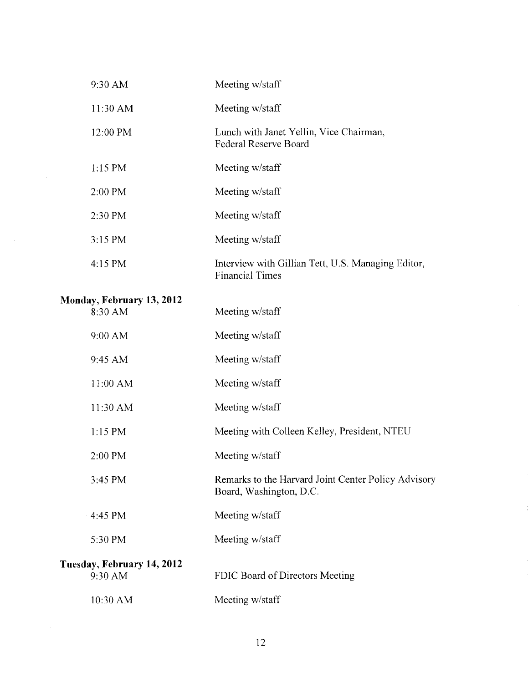| 9:30 AM                               | Meeting w/staff                                                                |
|---------------------------------------|--------------------------------------------------------------------------------|
| $11:30$ AM                            | Meeting w/staff                                                                |
| 12:00 PM                              | Lunch with Janet Yellin, Vice Chairman,<br><b>Federal Reserve Board</b>        |
| $1:15$ PM                             | Meeting w/staff                                                                |
| 2:00 PM                               | Meeting w/staff                                                                |
| 2:30 PM                               | Meeting w/staff                                                                |
| 3:15 PM                               | Meeting w/staff                                                                |
| 4:15 PM                               | Interview with Gillian Tett, U.S. Managing Editor,<br><b>Financial Times</b>   |
| Monday, February 13, 2012<br>8:30 AM  | Meeting w/staff                                                                |
| 9:00 AM                               | Meeting w/staff                                                                |
| 9:45 AM                               | Meeting w/staff                                                                |
| 11:00 AM                              | Meeting w/staff                                                                |
| 11:30 AM                              | Meeting w/staff                                                                |
| $1:15$ PM                             | Meeting with Colleen Kelley, President, NTEU                                   |
| 2:00 PM                               | Meeting w/staff                                                                |
| 3:45 PM                               | Remarks to the Harvard Joint Center Policy Advisory<br>Board, Washington, D.C. |
| 4:45 PM                               | Meeting w/staff                                                                |
| 5:30 PM                               | Meeting w/staff                                                                |
| Tuesday, February 14, 2012<br>9:30 AM | FDIC Board of Directors Meeting                                                |
| 10:30 AM                              | Meeting w/staff                                                                |

 $\sim 10^{-1}$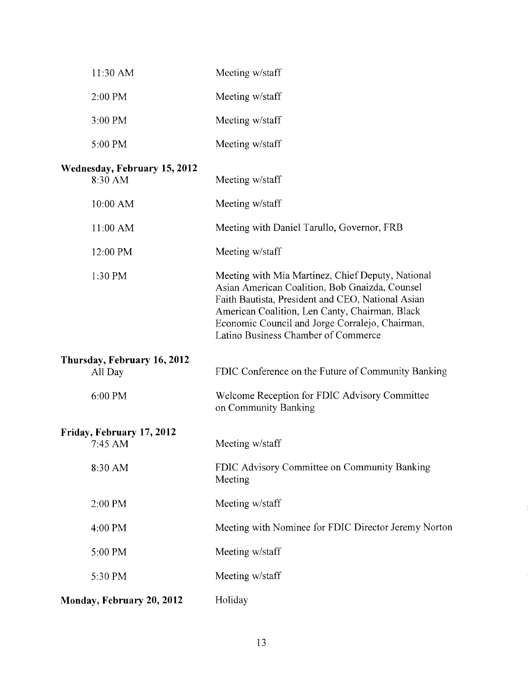| 11:30 AM                                | Meeting w/staff                                                                                                                                                                                                                                                                                      |
|-----------------------------------------|------------------------------------------------------------------------------------------------------------------------------------------------------------------------------------------------------------------------------------------------------------------------------------------------------|
| 2:00 PM                                 | Meeting w/staff                                                                                                                                                                                                                                                                                      |
| 3:00 PM                                 | Meeting w/staff                                                                                                                                                                                                                                                                                      |
| 5:00 PM                                 | Meeting w/staff                                                                                                                                                                                                                                                                                      |
| Wednesday, February 15, 2012<br>8:30 AM | Meeting w/staff                                                                                                                                                                                                                                                                                      |
| 10:00 AM                                | Meeting w/staff                                                                                                                                                                                                                                                                                      |
| 11:00 AM                                | Meeting with Daniel Tarullo, Governor, FRB                                                                                                                                                                                                                                                           |
| 12:00 PM                                | Meeting w/staff                                                                                                                                                                                                                                                                                      |
| 1:30 PM                                 | Meeting with Mia Martinez, Chief Deputy, National<br>Asian American Coalition, Bob Gnaizda, Counsel<br>Faith Bautista, President and CEO, National Asian<br>American Coalition, Len Canty, Chairman, Black<br>Economic Council and Jorge Corralejo, Chairman,<br>Latino Business Chamber of Commerce |
| Thursday, February 16, 2012<br>All Day  | FDIC Conference on the Future of Community Banking                                                                                                                                                                                                                                                   |
| 6:00 PM                                 | Welcome Reception for FDIC Advisory Committee<br>on Community Banking                                                                                                                                                                                                                                |
| Friday, February 17, 2012<br>7:45 AM    | Meeting w/staff                                                                                                                                                                                                                                                                                      |
| 8:30 AM                                 | FDIC Advisory Committee on Community Banking<br>Meeting                                                                                                                                                                                                                                              |
| 2:00 PM                                 | Meeting w/staff                                                                                                                                                                                                                                                                                      |
| 4:00 PM                                 | Meeting with Nominee for FDIC Director Jeremy Norton                                                                                                                                                                                                                                                 |
| 5:00 PM                                 | Meeting w/staff                                                                                                                                                                                                                                                                                      |
| 5:30 PM                                 | Meeting w/staff                                                                                                                                                                                                                                                                                      |
| Monday, February 20, 2012               | Holiday                                                                                                                                                                                                                                                                                              |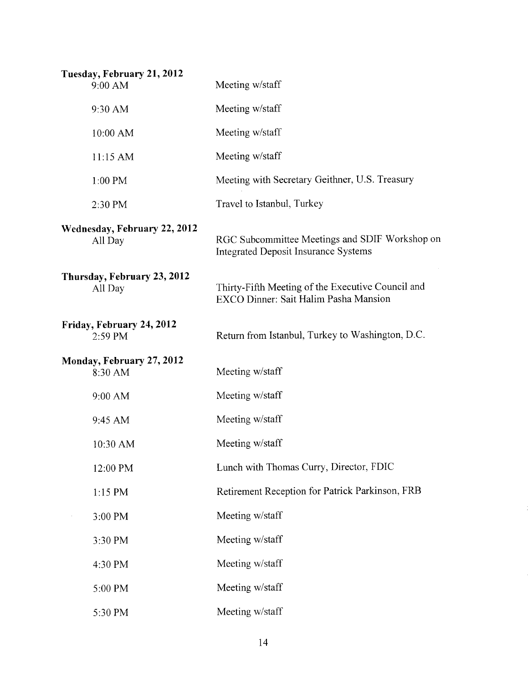| Tuesday, February 21, 2012<br>9:00 AM   | Meeting w/staff                                                                               |
|-----------------------------------------|-----------------------------------------------------------------------------------------------|
| 9:30 AM                                 | Meeting w/staff                                                                               |
| 10:00 AM                                | Meeting w/staff                                                                               |
| 11:15 AM                                | Meeting w/staff                                                                               |
| $1:00$ PM                               | Meeting with Secretary Geithner, U.S. Treasury                                                |
| 2:30 PM                                 | Travel to Istanbul, Turkey                                                                    |
| Wednesday, February 22, 2012<br>All Day | RGC Subcommittee Meetings and SDIF Workshop on<br><b>Integrated Deposit Insurance Systems</b> |
| Thursday, February 23, 2012<br>All Day  | Thirty-Fifth Meeting of the Executive Council and<br>EXCO Dinner: Sait Halim Pasha Mansion    |
| Friday, February 24, 2012<br>2:59 PM    | Return from Istanbul, Turkey to Washington, D.C.                                              |
| Monday, February 27, 2012<br>8:30 AM    | Meeting w/staff                                                                               |
| 9:00 AM                                 | Meeting w/staff                                                                               |
| 9:45 AM                                 | Meeting w/staff                                                                               |
| 10:30 AM                                | Meeting w/staff                                                                               |
| 12:00 PM                                | Lunch with Thomas Curry, Director, FDIC                                                       |
| $1:15$ PM                               | Retirement Reception for Patrick Parkinson, FRB                                               |
| 3:00 PM                                 | Meeting w/staff                                                                               |
| 3:30 PM                                 | Meeting w/staff                                                                               |
| 4:30 PM                                 | Meeting w/staff                                                                               |
| 5:00 PM                                 | Meeting w/staff                                                                               |
| 5:30 PM                                 | Meeting w/staff                                                                               |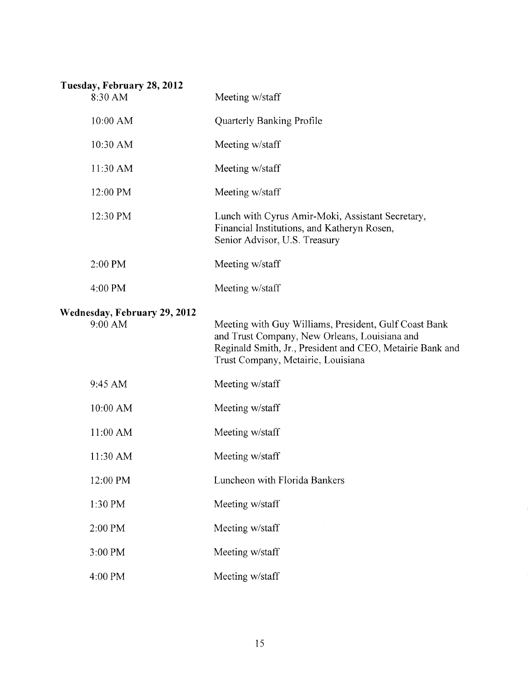| Tuesday, February 28, 2012<br>8:30 AM   | Meeting w/staff                                                                                                                                                                                           |
|-----------------------------------------|-----------------------------------------------------------------------------------------------------------------------------------------------------------------------------------------------------------|
| 10:00 AM                                | <b>Quarterly Banking Profile</b>                                                                                                                                                                          |
| 10:30 AM                                | Meeting w/staff                                                                                                                                                                                           |
| 11:30 AM                                | Meeting w/staff                                                                                                                                                                                           |
| 12:00 PM                                | Meeting w/staff                                                                                                                                                                                           |
| 12:30 PM                                | Lunch with Cyrus Amir-Moki, Assistant Secretary,<br>Financial Institutions, and Katheryn Rosen,<br>Senior Advisor, U.S. Treasury                                                                          |
| 2:00 PM                                 | Meeting w/staff                                                                                                                                                                                           |
| 4:00 PM                                 | Meeting w/staff                                                                                                                                                                                           |
| Wednesday, February 29, 2012<br>9:00 AM | Meeting with Guy Williams, President, Gulf Coast Bank<br>and Trust Company, New Orleans, Louisiana and<br>Reginald Smith, Jr., President and CEO, Metairie Bank and<br>Trust Company, Metairie, Louisiana |
| 9:45 AM                                 | Meeting w/staff                                                                                                                                                                                           |
| 10:00 AM                                | Meeting w/staff                                                                                                                                                                                           |
| 11:00 AM                                | Meeting w/staff                                                                                                                                                                                           |
| 11:30 AM                                | Meeting w/staff                                                                                                                                                                                           |
| 12:00 PM                                | Luncheon with Florida Bankers                                                                                                                                                                             |
| 1:30 PM                                 | Meeting w/staff                                                                                                                                                                                           |
| 2:00 PM                                 | Meeting w/staff                                                                                                                                                                                           |
| 3:00 PM                                 | Meeting w/staff                                                                                                                                                                                           |
| 4:00 PM                                 | Meeting w/staff                                                                                                                                                                                           |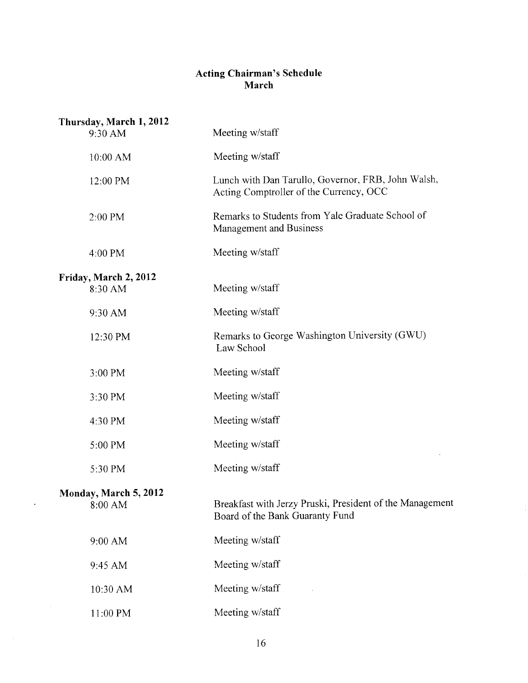## **Acting Chairman's Schedule March**

| Thursday, March 1, 2012<br>9:30 AM | Meeting w/staff                                                                               |
|------------------------------------|-----------------------------------------------------------------------------------------------|
| 10:00 AM                           | Meeting w/staff                                                                               |
| 12:00 PM                           | Lunch with Dan Tarullo, Governor, FRB, John Walsh,<br>Acting Comptroller of the Currency, OCC |
| 2:00 PM                            | Remarks to Students from Yale Graduate School of<br><b>Management and Business</b>            |
| 4:00 PM                            | Meeting w/staff                                                                               |
| Friday, March 2, 2012<br>8:30 AM   | Meeting w/staff                                                                               |
| 9:30 AM                            | Meeting w/staff                                                                               |
| 12:30 PM                           | Remarks to George Washington University (GWU)<br>Law School                                   |
| 3:00 PM                            | Meeting w/staff                                                                               |
| 3:30 PM                            | Meeting w/staff                                                                               |
| 4:30 PM                            | Meeting w/staff                                                                               |
| 5:00 PM                            | Meeting w/staff                                                                               |
| 5:30 PM                            | Meeting w/staff                                                                               |
| Monday, March 5, 2012<br>8:00 AM   | Breakfast with Jerzy Pruski, President of the Management<br>Board of the Bank Guaranty Fund   |
| 9:00 AM                            | Meeting w/staff                                                                               |
| 9:45 AM                            | Meeting w/staff                                                                               |
| 10:30 AM                           | Meeting w/staff                                                                               |
| 11:00 PM                           | Meeting w/staff                                                                               |

 $\mathcal{A}^{\pm}$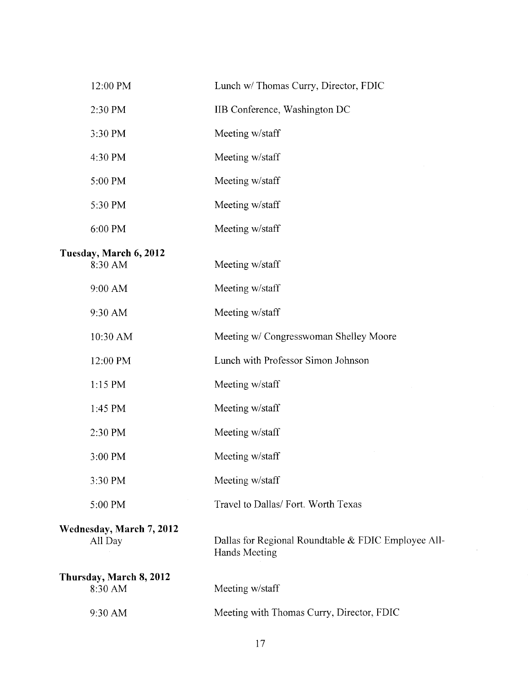| 12:00 PM                            | Lunch w/ Thomas Curry, Director, FDIC                                       |
|-------------------------------------|-----------------------------------------------------------------------------|
| 2:30 PM                             | IIB Conference, Washington DC                                               |
| 3:30 PM                             | Meeting w/staff                                                             |
| 4:30 PM                             | Meeting w/staff                                                             |
| 5:00 PM                             | Meeting w/staff                                                             |
| 5:30 PM                             | Meeting w/staff                                                             |
| 6:00 PM                             | Meeting w/staff                                                             |
| Tuesday, March 6, 2012<br>8:30 AM   | Meeting w/staff                                                             |
| 9:00 AM                             | Meeting w/staff                                                             |
| 9:30 AM                             | Meeting w/staff                                                             |
| 10:30 AM                            | Meeting w/ Congresswoman Shelley Moore                                      |
| 12:00 PM                            | Lunch with Professor Simon Johnson                                          |
| 1:15 PM                             | Meeting w/staff                                                             |
| 1:45 PM                             | Meeting w/staff                                                             |
| 2:30 PM                             | Meeting w/staff                                                             |
| 3:00 PM                             | Meeting w/staff                                                             |
| 3:30 PM                             | Meeting w/staff                                                             |
| 5:00 PM                             | Travel to Dallas/ Fort. Worth Texas                                         |
| Wednesday, March 7, 2012<br>All Day | Dallas for Regional Roundtable & FDIC Employee All-<br><b>Hands Meeting</b> |
| Thursday, March 8, 2012<br>8:30 AM  | Meeting w/staff                                                             |
| 9:30 AM                             | Meeting with Thomas Curry, Director, FDIC                                   |
|                                     |                                                                             |

 $\frac{1}{2}$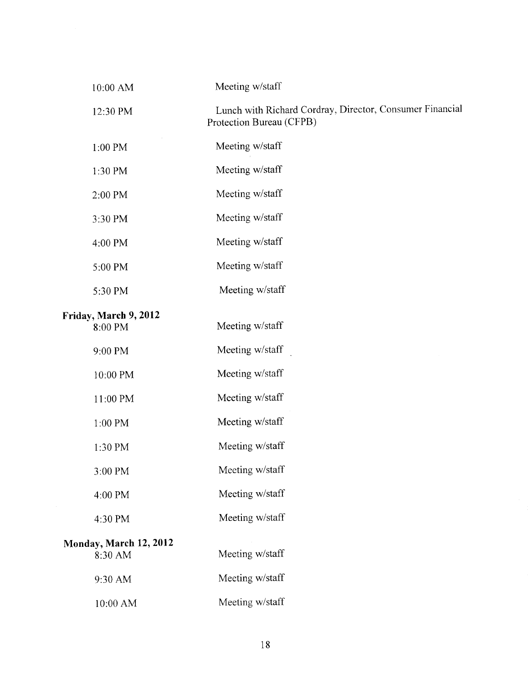| 10:00 AM                          | Meeting w/staff                                                                      |
|-----------------------------------|--------------------------------------------------------------------------------------|
| 12:30 PM                          | Lunch with Richard Cordray, Director, Consumer Financial<br>Protection Bureau (CFPB) |
| 1:00 PM                           | Meeting w/staff                                                                      |
| 1:30 PM                           | Meeting w/staff                                                                      |
| 2:00 PM                           | Meeting w/staff                                                                      |
| 3:30 PM                           | Meeting w/staff                                                                      |
| 4:00 PM                           | Meeting w/staff                                                                      |
| 5:00 PM                           | Meeting w/staff                                                                      |
| 5:30 PM                           | Meeting w/staff                                                                      |
| Friday, March 9, 2012<br>8:00 PM  | Meeting w/staff                                                                      |
| 9:00 PM                           | Meeting w/staff                                                                      |
| 10:00 PM                          | Meeting w/staff                                                                      |
| 11:00 PM                          | Meeting w/staff                                                                      |
| 1:00 PM                           | Meeting w/staff                                                                      |
| 1:30 PM                           | Meeting w/staff                                                                      |
| 3:00 PM                           | Meeting w/staff                                                                      |
| 4:00 PM                           | Meeting w/staff                                                                      |
| 4:30 PM                           | Meeting w/staff                                                                      |
| Monday, March 12, 2012<br>8:30 AM | Meeting w/staff                                                                      |
| 9:30 AM                           | Meeting w/staff                                                                      |
| $10:00~\mathrm{AM}$               | Meeting w/staff                                                                      |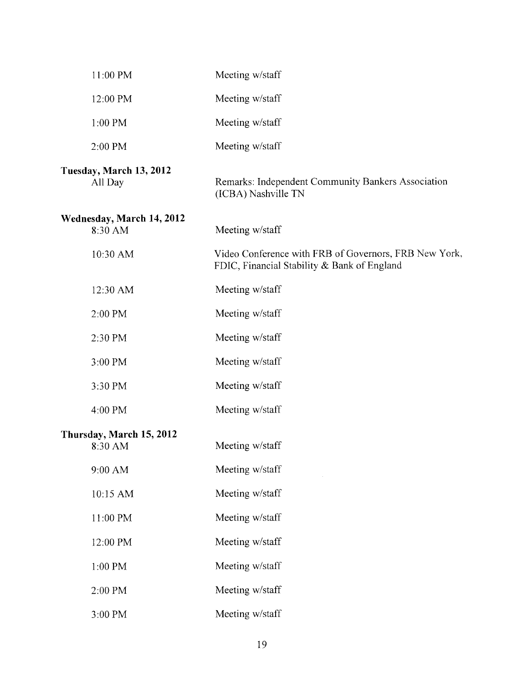| 11:00 PM                             | Meeting w/staff                                                                                      |
|--------------------------------------|------------------------------------------------------------------------------------------------------|
| 12:00 PM                             | Meeting w/staff                                                                                      |
| 1:00 PM                              | Meeting w/staff                                                                                      |
| 2:00 PM                              | Meeting w/staff                                                                                      |
| Tuesday, March 13, 2012<br>All Day   | Remarks: Independent Community Bankers Association<br>(ICBA) Nashville TN                            |
| Wednesday, March 14, 2012<br>8:30 AM | Meeting w/staff                                                                                      |
| 10:30 AM                             | Video Conference with FRB of Governors, FRB New York,<br>FDIC, Financial Stability & Bank of England |
| 12:30 AM                             | Meeting w/staff                                                                                      |
| 2:00 PM                              | Meeting w/staff                                                                                      |
| 2:30 PM                              | Meeting w/staff                                                                                      |
| 3:00 PM                              | Meeting w/staff                                                                                      |
| 3:30 PM                              | Meeting w/staff                                                                                      |
| 4:00 PM                              | Meeting w/staff                                                                                      |
| Thursday, March 15, 2012<br>8:30 AM  | Meeting w/staff                                                                                      |
| 9:00 AM                              | Meeting w/staff                                                                                      |
| 10:15 AM                             | Meeting w/staff                                                                                      |
| 11:00 PM                             | Meeting w/staff                                                                                      |
| 12:00 PM                             | Meeting w/staff                                                                                      |
| 1:00 PM                              | Meeting w/staff                                                                                      |
| 2:00 PM                              | Meeting w/staff                                                                                      |
| $3:00\;PM$                           | Meeting w/staff                                                                                      |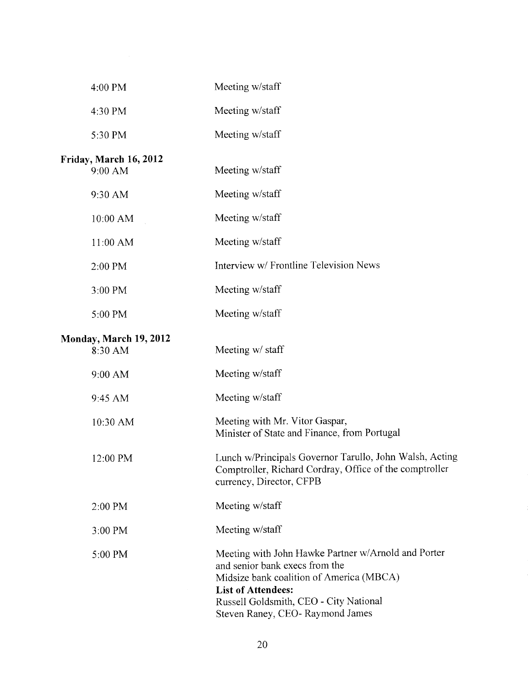| 4:00 PM                           | Meeting w/staff                                                                                                                                                                                                                             |
|-----------------------------------|---------------------------------------------------------------------------------------------------------------------------------------------------------------------------------------------------------------------------------------------|
| 4:30 PM                           | Meeting w/staff                                                                                                                                                                                                                             |
| 5:30 PM                           | Meeting w/staff                                                                                                                                                                                                                             |
| Friday, March 16, 2012<br>9:00 AM | Meeting w/staff                                                                                                                                                                                                                             |
| 9:30 AM                           | Meeting w/staff                                                                                                                                                                                                                             |
| 10:00 AM                          | Meeting w/staff                                                                                                                                                                                                                             |
| 11:00 AM                          | Meeting w/staff                                                                                                                                                                                                                             |
| 2:00 PM                           | Interview w/ Frontline Television News                                                                                                                                                                                                      |
| 3:00 PM                           | Meeting w/staff                                                                                                                                                                                                                             |
| 5:00 PM                           | Meeting w/staff                                                                                                                                                                                                                             |
| Monday, March 19, 2012<br>8:30 AM | Meeting w/ staff                                                                                                                                                                                                                            |
| 9:00 AM                           | Meeting w/staff                                                                                                                                                                                                                             |
| 9:45 AM                           | Meeting w/staff                                                                                                                                                                                                                             |
| 10:30 AM                          | Meeting with Mr. Vitor Gaspar,<br>Minister of State and Finance, from Portugal                                                                                                                                                              |
| 12:00 PM                          | Lunch w/Principals Governor Tarullo, John Walsh, Acting<br>Comptroller, Richard Cordray, Office of the comptroller<br>currency, Director, CFPB                                                                                              |
| 2:00 PM                           | Meeting w/staff                                                                                                                                                                                                                             |
| 3:00 PM                           | Meeting w/staff                                                                                                                                                                                                                             |
| 5:00 PM                           | Meeting with John Hawke Partner w/Arnold and Porter<br>and senior bank execs from the<br>Midsize bank coalition of America (MBCA)<br><b>List of Attendees:</b><br>Russell Goldsmith, CEO - City National<br>Steven Raney, CEO-Raymond James |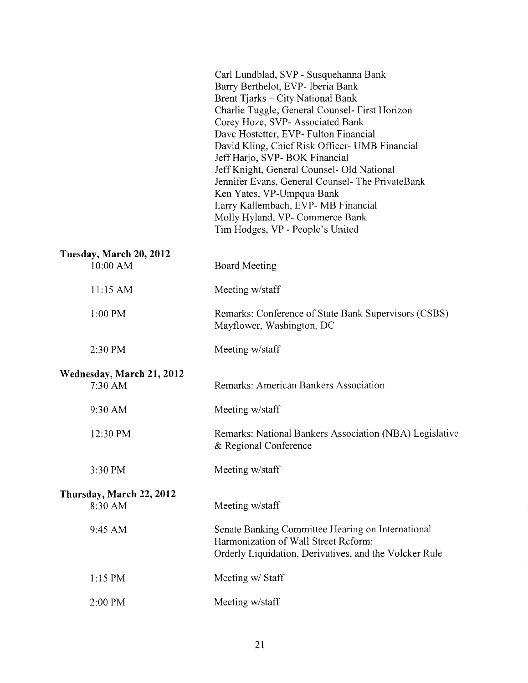|                                      | Carl Lundblad, SVP - Susquehanna Bank<br>Barry Berthelot, EVP- Iberia Bank<br>Brent Tjarks - City National Bank<br>Charlie Tuggle, General Counsel- First Horizon<br>Corey Hoze, SVP- Associated Bank<br>Dave Hostetter, EVP- Fulton Financial<br>David Kling, Chief Risk Officer- UMB Financial<br>Jeff Harjo, SVP- BOK Financial<br>Jeff Knight, General Counsel- Old National<br>Jennifer Evans, General Counsel- The PrivateBank<br>Ken Yates, VP-Umpqua Bank<br>Larry Kallembach, EVP-MB Financial<br>Molly Hyland, VP- Commerce Bank<br>Tim Hodges, VP - People's United |
|--------------------------------------|--------------------------------------------------------------------------------------------------------------------------------------------------------------------------------------------------------------------------------------------------------------------------------------------------------------------------------------------------------------------------------------------------------------------------------------------------------------------------------------------------------------------------------------------------------------------------------|
| Tuesday, March 20, 2012<br>10:00 AM  | <b>Board Meeting</b>                                                                                                                                                                                                                                                                                                                                                                                                                                                                                                                                                           |
| 11:15 AM                             | Meeting w/staff                                                                                                                                                                                                                                                                                                                                                                                                                                                                                                                                                                |
| $1:00$ PM                            | Remarks: Conference of State Bank Supervisors (CSBS)<br>Mayflower, Washington, DC                                                                                                                                                                                                                                                                                                                                                                                                                                                                                              |
| 2:30 PM                              | Meeting w/staff                                                                                                                                                                                                                                                                                                                                                                                                                                                                                                                                                                |
| Wednesday, March 21, 2012<br>7:30 AM | Remarks: American Bankers Association                                                                                                                                                                                                                                                                                                                                                                                                                                                                                                                                          |
| 9:30 AM                              | Meeting w/staff                                                                                                                                                                                                                                                                                                                                                                                                                                                                                                                                                                |
| 12:30 PM                             | Remarks: National Bankers Association (NBA) Legislative<br>& Regional Conference                                                                                                                                                                                                                                                                                                                                                                                                                                                                                               |
| 3:30 PM                              | Meeting w/staff                                                                                                                                                                                                                                                                                                                                                                                                                                                                                                                                                                |
| Thursday, March 22, 2012<br>8:30 AM  | Meeting w/staff                                                                                                                                                                                                                                                                                                                                                                                                                                                                                                                                                                |
| 9:45 AM                              | Senate Banking Committee Hearing on International<br>Harmonization of Wall Street Reform:<br>Orderly Liquidation, Derivatives, and the Volcker Rule                                                                                                                                                                                                                                                                                                                                                                                                                            |
| $1:15$ PM                            | Meeting w/ Staff                                                                                                                                                                                                                                                                                                                                                                                                                                                                                                                                                               |
| 2:00 PM                              | Meeting w/staff                                                                                                                                                                                                                                                                                                                                                                                                                                                                                                                                                                |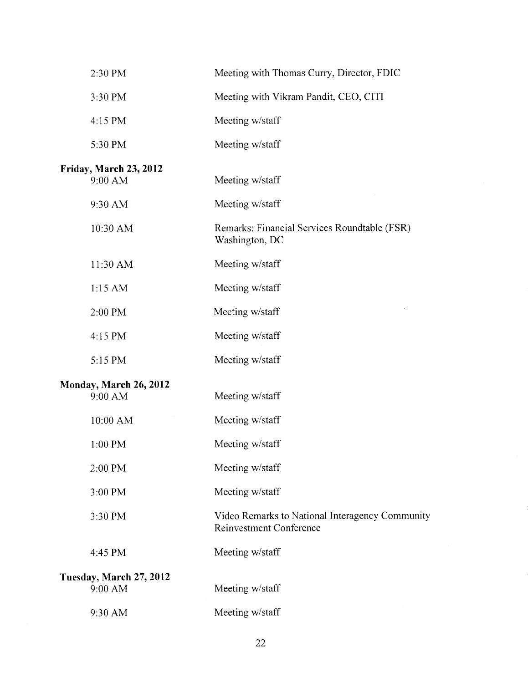| 2:30 PM                                  | Meeting with Thomas Curry, Director, FDIC                                         |
|------------------------------------------|-----------------------------------------------------------------------------------|
| 3:30 PM                                  | Meeting with Vikram Pandit, CEO, CITI                                             |
| 4:15 PM                                  | Meeting w/staff                                                                   |
| 5:30 PM                                  | Meeting w/staff                                                                   |
| <b>Friday, March 23, 2012</b><br>9:00 AM | Meeting w/staff                                                                   |
| 9:30 AM                                  | Meeting w/staff                                                                   |
| 10:30 AM                                 | Remarks: Financial Services Roundtable (FSR)<br>Washington, DC                    |
| 11:30 AM                                 | Meeting w/staff                                                                   |
| 1:15 AM                                  | Meeting w/staff                                                                   |
| 2:00 PM                                  | Meeting w/staff                                                                   |
| 4:15 PM                                  | Meeting w/staff                                                                   |
| 5:15 PM                                  | Meeting w/staff                                                                   |
| Monday, March 26, 2012<br>9:00 AM        | Meeting w/staff                                                                   |
| 10:00 AM                                 | Meeting w/staff                                                                   |
| $1:00$ PM                                | Meeting w/staff                                                                   |
| 2:00 PM                                  | Meeting w/staff                                                                   |
| 3:00 PM                                  | Meeting w/staff                                                                   |
| 3:30 PM                                  | Video Remarks to National Interagency Community<br><b>Reinvestment Conference</b> |
| 4:45 PM                                  | Meeting w/staff                                                                   |
| Tuesday, March 27, 2012<br>9:00 AM       | Meeting w/staff                                                                   |
| 9:30 AM                                  | Meeting w/staff                                                                   |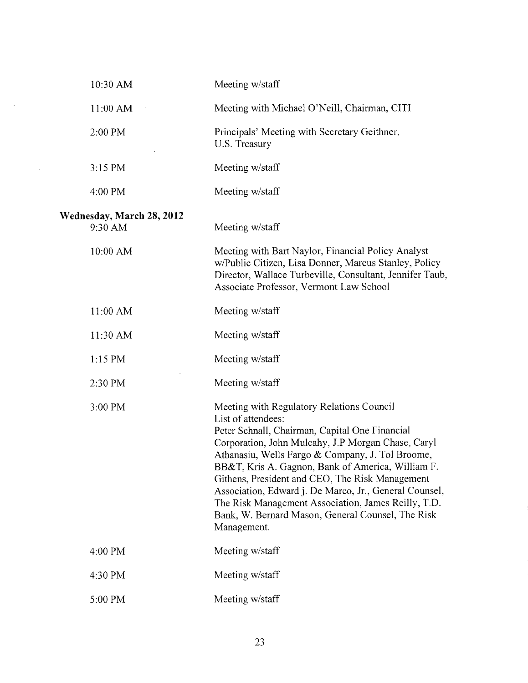| 10:30 AM                             | Meeting w/staff                                                                                                                                                                                                                                                                                                                                                                                                                                                                                                          |
|--------------------------------------|--------------------------------------------------------------------------------------------------------------------------------------------------------------------------------------------------------------------------------------------------------------------------------------------------------------------------------------------------------------------------------------------------------------------------------------------------------------------------------------------------------------------------|
| 11:00 AM                             | Meeting with Michael O'Neill, Chairman, CITI                                                                                                                                                                                                                                                                                                                                                                                                                                                                             |
| 2:00 PM                              | Principals' Meeting with Secretary Geithner,<br>U.S. Treasury                                                                                                                                                                                                                                                                                                                                                                                                                                                            |
| 3:15 PM                              | Meeting w/staff                                                                                                                                                                                                                                                                                                                                                                                                                                                                                                          |
| 4:00 PM                              | Meeting w/staff                                                                                                                                                                                                                                                                                                                                                                                                                                                                                                          |
| Wednesday, March 28, 2012<br>9:30 AM | Meeting w/staff                                                                                                                                                                                                                                                                                                                                                                                                                                                                                                          |
| 10:00 AM                             | Meeting with Bart Naylor, Financial Policy Analyst<br>w/Public Citizen, Lisa Donner, Marcus Stanley, Policy<br>Director, Wallace Turbeville, Consultant, Jennifer Taub,<br>Associate Professor, Vermont Law School                                                                                                                                                                                                                                                                                                       |
| 11:00 AM                             | Meeting w/staff                                                                                                                                                                                                                                                                                                                                                                                                                                                                                                          |
| 11:30 AM                             | Meeting w/staff                                                                                                                                                                                                                                                                                                                                                                                                                                                                                                          |
| $1:15$ PM                            | Meeting w/staff                                                                                                                                                                                                                                                                                                                                                                                                                                                                                                          |
| 2:30 PM                              | Meeting w/staff                                                                                                                                                                                                                                                                                                                                                                                                                                                                                                          |
| 3:00 PM                              | Meeting with Regulatory Relations Council<br>List of attendees:<br>Peter Schnall, Chairman, Capital One Financial<br>Corporation, John Mulcahy, J.P Morgan Chase, Caryl<br>Athanasiu, Wells Fargo & Company, J. Tol Broome,<br>BB&T, Kris A. Gagnon, Bank of America, William F.<br>Githens, President and CEO, The Risk Management<br>Association, Edward j. De Marco, Jr., General Counsel,<br>The Risk Management Association, James Reilly, T.D.<br>Bank, W. Bernard Mason, General Counsel, The Risk<br>Management. |
| 4:00 PM                              | Meeting w/staff                                                                                                                                                                                                                                                                                                                                                                                                                                                                                                          |
| 4:30 PM                              | Meeting w/staff                                                                                                                                                                                                                                                                                                                                                                                                                                                                                                          |
| 5:00 PM                              | Meeting w/staff                                                                                                                                                                                                                                                                                                                                                                                                                                                                                                          |

 $\mathcal{A}^{\mathcal{A}}$